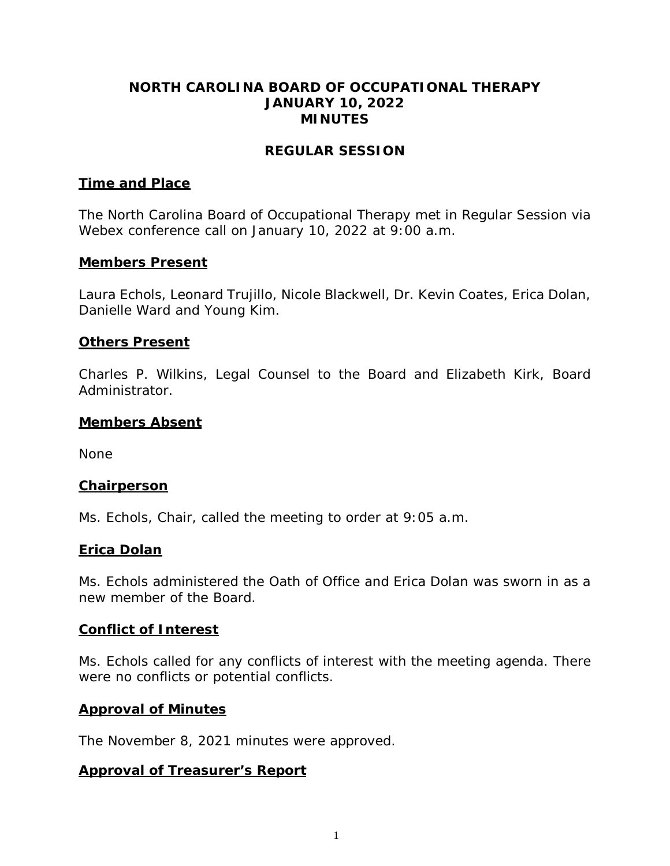### **NORTH CAROLINA BOARD OF OCCUPATIONAL THERAPY JANUARY 10, 2022 MINUTES**

### **REGULAR SESSION**

### **Time and Place**

The North Carolina Board of Occupational Therapy met in Regular Session via Webex conference call on January 10, 2022 at 9:00 a.m.

### **Members Present**

Laura Echols, Leonard Trujillo, Nicole Blackwell, Dr. Kevin Coates, Erica Dolan, Danielle Ward and Young Kim.

### **Others Present**

Charles P. Wilkins, Legal Counsel to the Board and Elizabeth Kirk, Board Administrator.

### **Members Absent**

None

### **Chairperson**

Ms. Echols, Chair, called the meeting to order at 9:05 a.m.

## **Erica Dolan**

Ms. Echols administered the Oath of Office and Erica Dolan was sworn in as a new member of the Board.

### **Conflict of Interest**

Ms. Echols called for any conflicts of interest with the meeting agenda. There were no conflicts or potential conflicts.

### **Approval of Minutes**

The November 8, 2021 minutes were approved.

### **Approval of Treasurer's Report**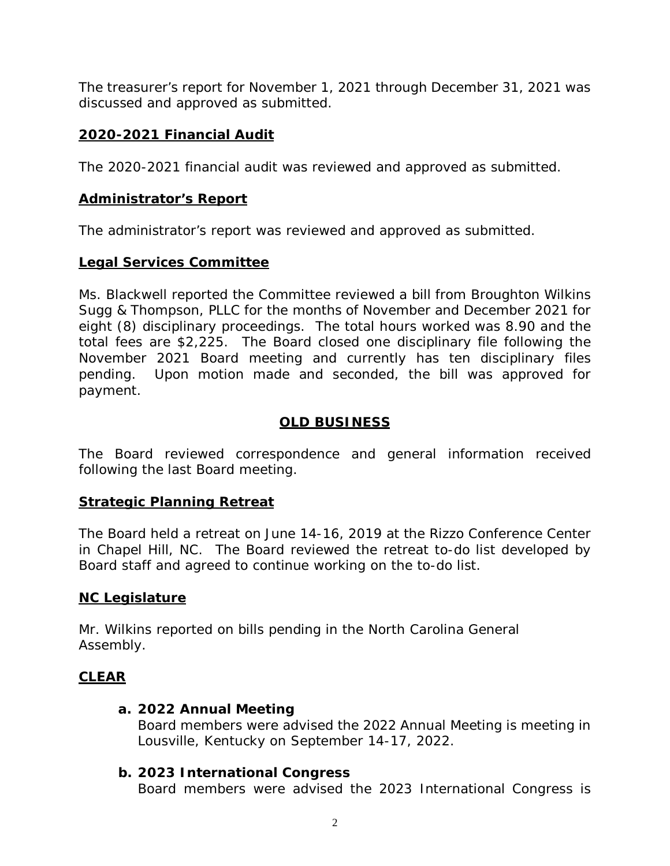The treasurer's report for November 1, 2021 through December 31, 2021 was discussed and approved as submitted.

# **2020-2021 Financial Audit**

The 2020-2021 financial audit was reviewed and approved as submitted.

## **Administrator's Report**

The administrator's report was reviewed and approved as submitted.

## **Legal Services Committee**

Ms. Blackwell reported the Committee reviewed a bill from Broughton Wilkins Sugg & Thompson, PLLC for the months of November and December 2021 for eight (8) disciplinary proceedings. The total hours worked was 8.90 and the total fees are \$2,225. The Board closed one disciplinary file following the November 2021 Board meeting and currently has ten disciplinary files pending. Upon motion made and seconded, the bill was approved for payment.

# **OLD BUSINESS**

The Board reviewed correspondence and general information received following the last Board meeting.

## **Strategic Planning Retreat**

The Board held a retreat on June 14-16, 2019 at the Rizzo Conference Center in Chapel Hill, NC. The Board reviewed the retreat to-do list developed by Board staff and agreed to continue working on the to-do list.

## **NC Legislature**

Mr. Wilkins reported on bills pending in the North Carolina General Assembly.

# **CLEAR**

## **a. 2022 Annual Meeting**

Board members were advised the 2022 Annual Meeting is meeting in Lousville, Kentucky on September 14-17, 2022.

# **b. 2023 International Congress**

Board members were advised the 2023 International Congress is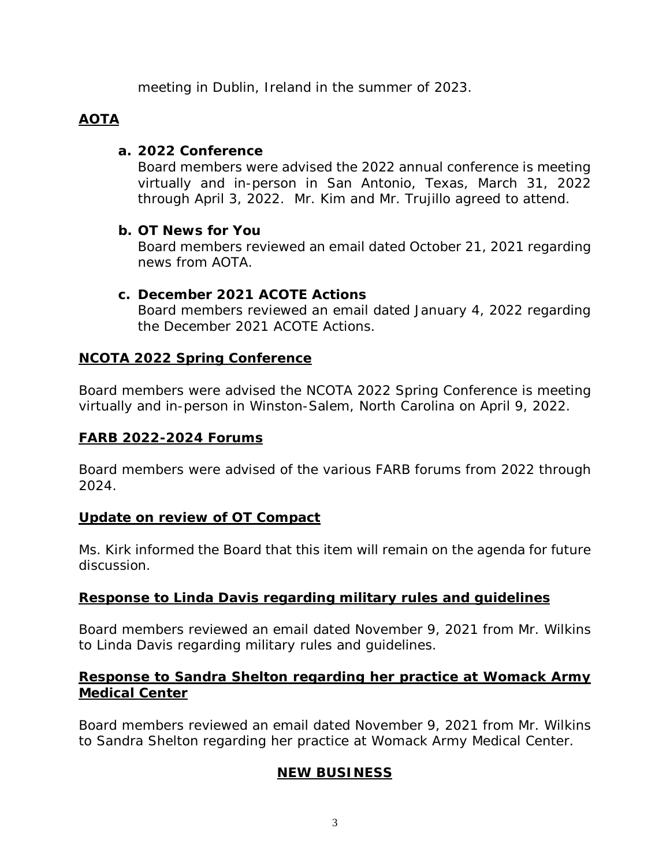meeting in Dublin, Ireland in the summer of 2023.

# **AOTA**

### **a. 2022 Conference**

Board members were advised the 2022 annual conference is meeting virtually and in-person in San Antonio, Texas, March 31, 2022 through April 3, 2022. Mr. Kim and Mr. Trujillo agreed to attend.

## **b. OT News for You**

Board members reviewed an email dated October 21, 2021 regarding news from AOTA.

## **c. December 2021 ACOTE Actions**

Board members reviewed an email dated January 4, 2022 regarding the December 2021 ACOTE Actions.

## **NCOTA 2022 Spring Conference**

Board members were advised the NCOTA 2022 Spring Conference is meeting virtually and in-person in Winston-Salem, North Carolina on April 9, 2022.

## **FARB 2022-2024 Forums**

Board members were advised of the various FARB forums from 2022 through 2024.

# **Update on review of OT Compact**

Ms. Kirk informed the Board that this item will remain on the agenda for future discussion.

# **Response to Linda Davis regarding military rules and guidelines**

Board members reviewed an email dated November 9, 2021 from Mr. Wilkins to Linda Davis regarding military rules and guidelines.

## **Response to Sandra Shelton regarding her practice at Womack Army Medical Center**

Board members reviewed an email dated November 9, 2021 from Mr. Wilkins to Sandra Shelton regarding her practice at Womack Army Medical Center.

# **NEW BUSINESS**